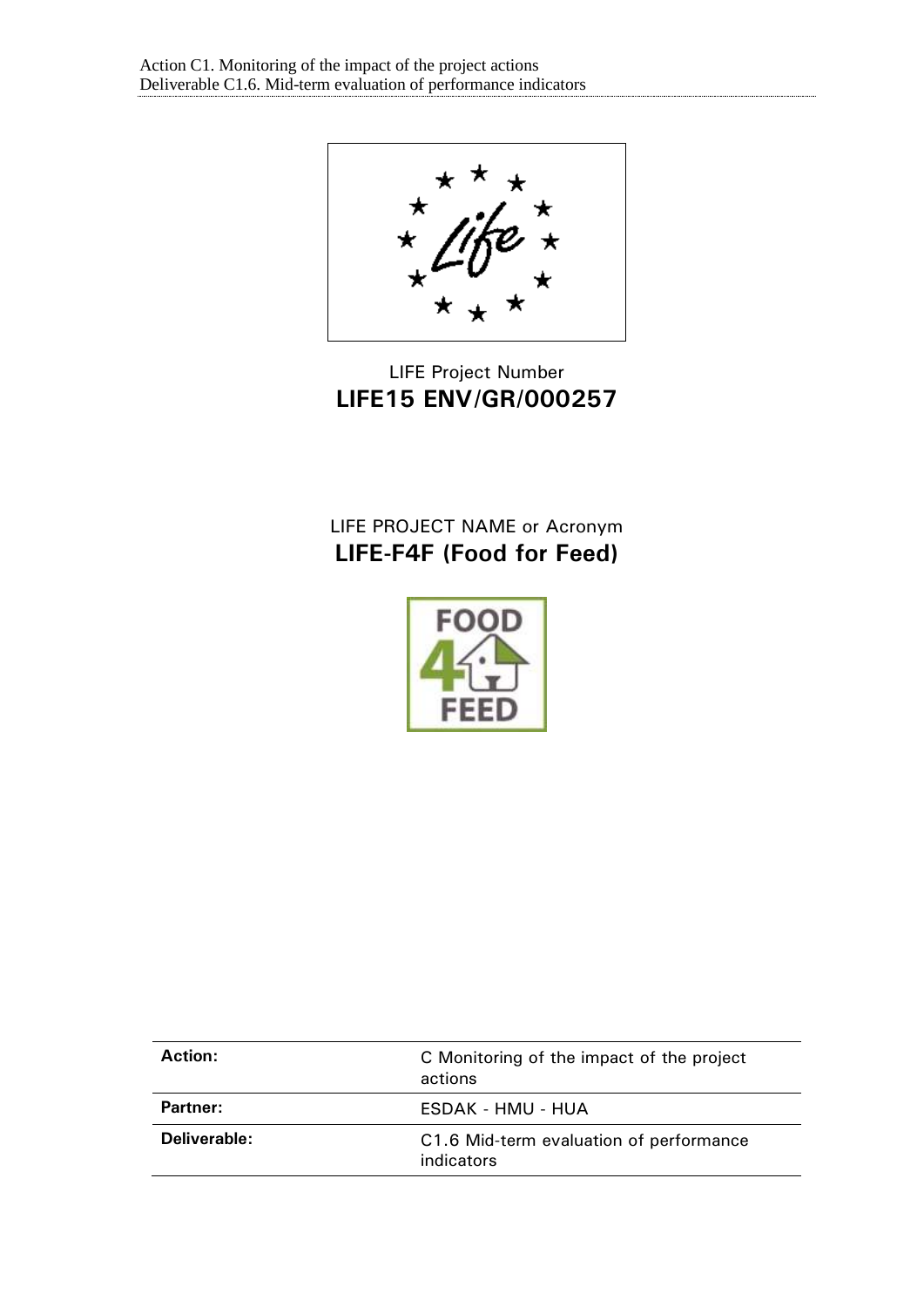★ ×

# LIFE Project Number **LIFE15 ENV/GR/000257**

# LIFE PROJECT NAME or Acronym **LIFE-F4F (Food for Feed)**



| Action:         | C Monitoring of the impact of the project<br>actions  |
|-----------------|-------------------------------------------------------|
| <b>Partner:</b> | ESDAK - HMU - HUA                                     |
| Deliverable:    | C1.6 Mid-term evaluation of performance<br>indicators |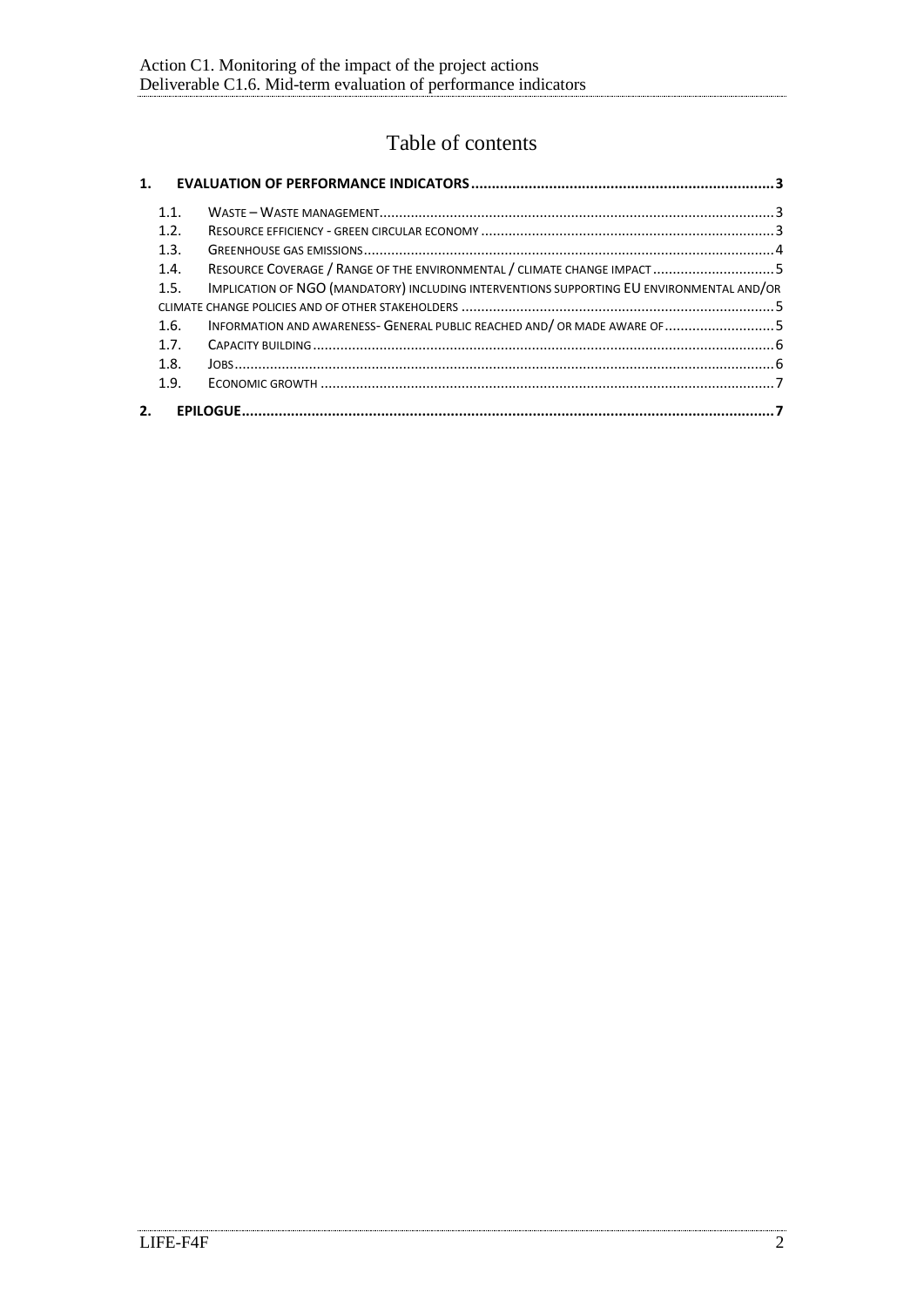## Table of contents

| $\mathbf{1}$ . |      |                                                                                           |  |
|----------------|------|-------------------------------------------------------------------------------------------|--|
|                | 1.1. |                                                                                           |  |
|                | 1.2. |                                                                                           |  |
|                | 1.3. |                                                                                           |  |
|                | 1.4. | RESOURCE COVERAGE / RANGE OF THE ENVIRONMENTAL / CLIMATE CHANGE IMPACT 5                  |  |
|                | 1.5. | IMPLICATION OF NGO (MANDATORY) INCLUDING INTERVENTIONS SUPPORTING EU ENVIRONMENTAL AND/OR |  |
|                |      |                                                                                           |  |
|                | 1.6. | INFORMATION AND AWARENESS- GENERAL PUBLIC REACHED AND/ OR MADE AWARE OF 5                 |  |
|                | 17   |                                                                                           |  |
|                | 1.8. |                                                                                           |  |
|                | 1.9. |                                                                                           |  |
| 2.             |      |                                                                                           |  |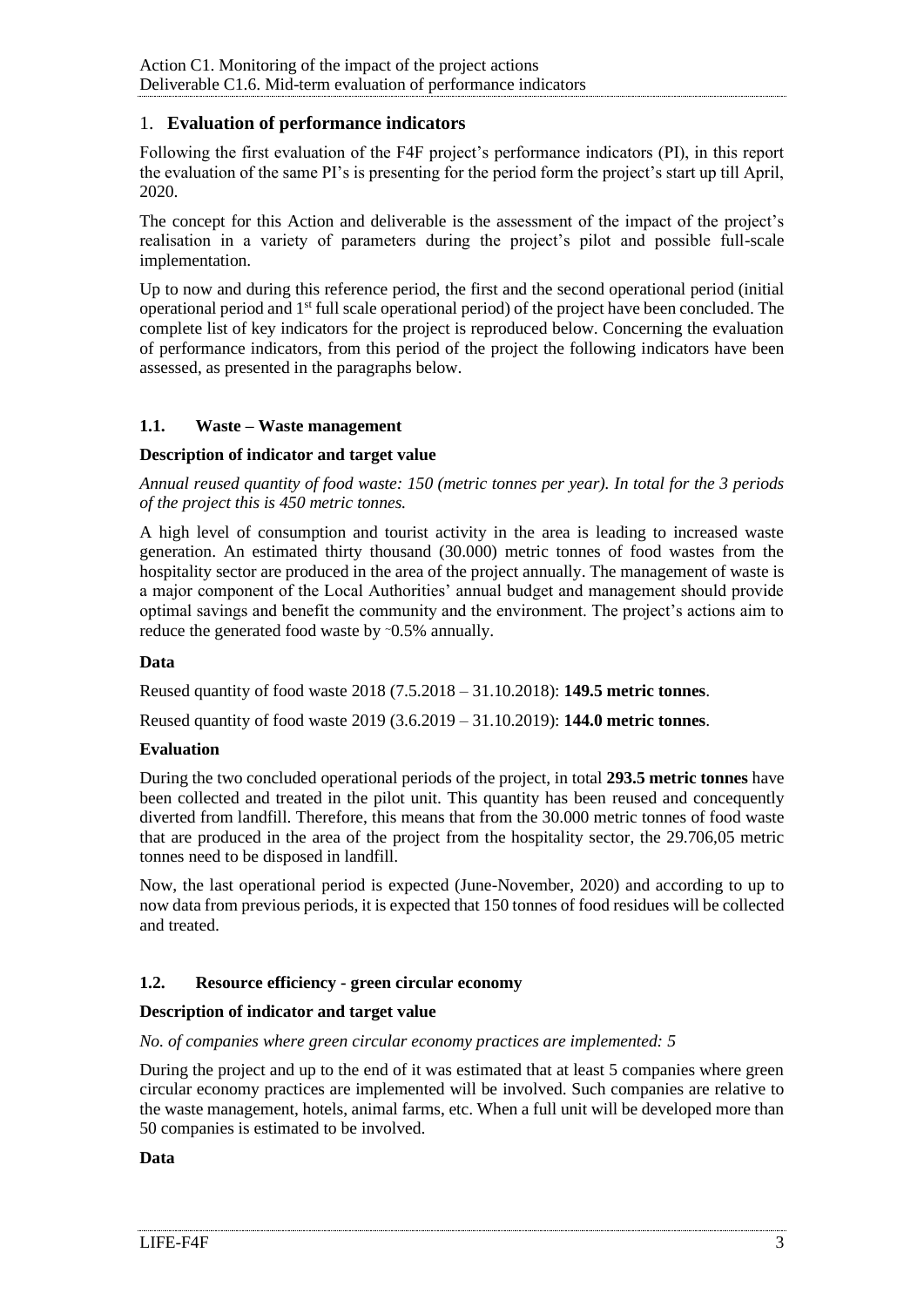## <span id="page-2-0"></span>1. **Evaluation of performance indicators**

Following the first evaluation of the F4F project's performance indicators (PI), in this report the evaluation of the same PI's is presenting for the period form the project's start up till April, 2020.

The concept for this Action and deliverable is the assessment of the impact of the project's realisation in a variety of parameters during the project's pilot and possible full-scale implementation.

Up to now and during this reference period, the first and the second operational period (initial operational period and 1st full scale operational period) of the project have been concluded. The complete list of key indicators for the project is reproduced below. Concerning the evaluation of performance indicators, from this period of the project the following indicators have been assessed, as presented in the paragraphs below.

## <span id="page-2-1"></span>**1.1. Waste – Waste management**

## **Description of indicator and target value**

*Annual reused quantity of food waste: 150 (metric tonnes per year). In total for the 3 periods of the project this is 450 metric tonnes.* 

A high level of consumption and tourist activity in the area is leading to increased waste generation. An estimated thirty thousand (30.000) metric tonnes of food wastes from the hospitality sector are produced in the area of the project annually. The management of waste is a major component of the Local Authorities' annual budget and management should provide optimal savings and benefit the community and the environment. The project's actions aim to reduce the generated food waste by ~0.5% annually.

#### **Data**

Reused quantity of food waste 2018 (7.5.2018 – 31.10.2018): **149.5 metric tonnes**.

Reused quantity of food waste 2019 (3.6.2019 – 31.10.2019): **144.0 metric tonnes**.

#### **Evaluation**

During the two concluded operational periods of the project, in total **293.5 metric tonnes** have been collected and treated in the pilot unit. This quantity has been reused and concequently diverted from landfill. Therefore, this means that from the 30.000 metric tonnes of food waste that are produced in the area of the project from the hospitality sector, the 29.706,05 metric tonnes need to be disposed in landfill.

Now, the last operational period is expected (June-November, 2020) and according to up to now data from previous periods, it is expected that 150 tonnes of food residues will be collected and treated.

## <span id="page-2-2"></span>**1.2. Resource efficiency - green circular economy**

## **Description of indicator and target value**

#### *No. of companies where green circular economy practices are implemented: 5*

During the project and up to the end of it was estimated that at least 5 companies where green circular economy practices are implemented will be involved. Such companies are relative to the waste management, hotels, animal farms, etc. When a full unit will be developed more than 50 companies is estimated to be involved.

#### **Data**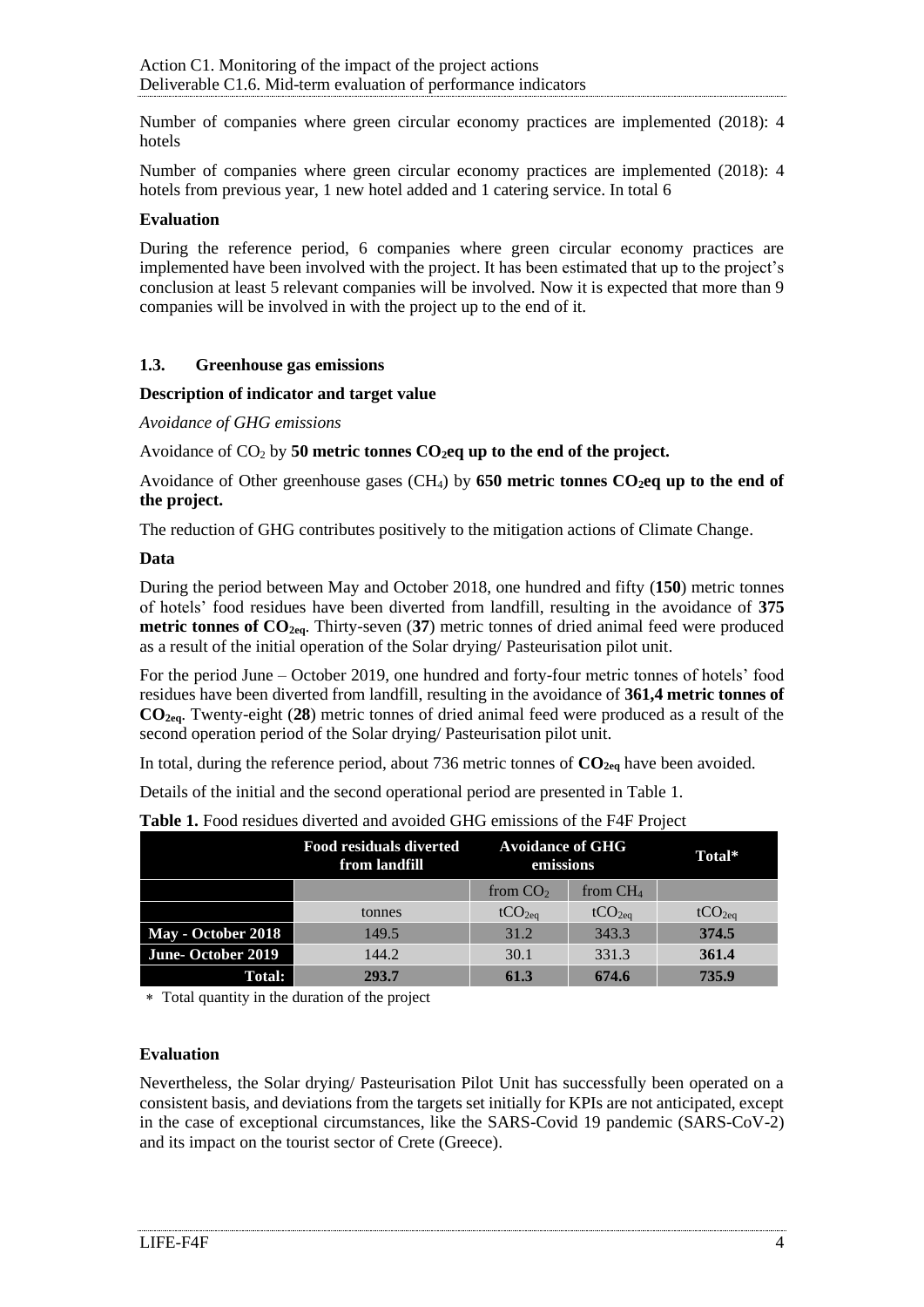Number of companies where green circular economy practices are implemented (2018): 4 hotels

Number of companies where green circular economy practices are implemented (2018): 4 hotels from previous year, 1 new hotel added and 1 catering service. In total 6

#### **Evaluation**

During the reference period, 6 companies where green circular economy practices are implemented have been involved with the project. It has been estimated that up to the project's conclusion at least 5 relevant companies will be involved. Now it is expected that more than 9 companies will be involved in with the project up to the end of it.

#### <span id="page-3-0"></span>**1.3. Greenhouse gas emissions**

#### **Description of indicator and target value**

*Avoidance of GHG emissions*

Avoidance of CO<sup>2</sup> by **50 metric tonnes CO2eq up to the end of the project.** 

Avoidance of Other greenhouse gases (CH4) by **650 metric tonnes CO2eq up to the end of the project.** 

The reduction of GHG contributes positively to the mitigation actions of Climate Change.

#### **Data**

During the period between May and October 2018, one hundred and fifty (**150**) metric tonnes of hotels' food residues have been diverted from landfill, resulting in the avoidance of **375 metric tonnes of CO2eq**. Thirty-seven (**37**) metric tonnes of dried animal feed were produced as a result of the initial operation of the Solar drying/ Pasteurisation pilot unit.

For the period June – October 2019, one hundred and forty-four metric tonnes of hotels' food residues have been diverted from landfill, resulting in the avoidance of **361,4 metric tonnes of CO2eq**. Twenty-eight (**28**) metric tonnes of dried animal feed were produced as a result of the second operation period of the Solar drying/ Pasteurisation pilot unit.

In total, during the reference period, about 736 metric tonnes of **CO2eq** have been avoided.

Details of the initial and the second operational period are presented in [Table 1.](#page-3-1)

|                    | Food residuals diverted<br>from landfill |                    | <b>Avoidance of GHG</b><br>emissions |                    |
|--------------------|------------------------------------------|--------------------|--------------------------------------|--------------------|
|                    |                                          | from $CO2$         | from $CH4$                           |                    |
|                    | tonnes                                   | tCO <sub>2ea</sub> | tCO <sub>2ea</sub>                   | tCO <sub>2eq</sub> |
| May - October 2018 | 149.5                                    | 31.2               | 343.3                                | 374.5              |
| June-October 2019  | 144.2                                    | 30.1               | 331.3                                | 361.4              |
| <b>Total:</b>      | 293.7                                    | 61.3               | 674.6                                | 735.9              |

<span id="page-3-1"></span>**Table 1.** Food residues diverted and avoided GHG emissions of the F4F Project

Total quantity in the duration of the project

#### **Evaluation**

Nevertheless, the Solar drying/ Pasteurisation Pilot Unit has successfully been operated on a consistent basis, and deviations from the targets set initially for KPIs are not anticipated, except in the case of exceptional circumstances, like the SARS-Covid 19 pandemic (SARS-CoV-2) and its impact on the tourist sector of Crete (Greece).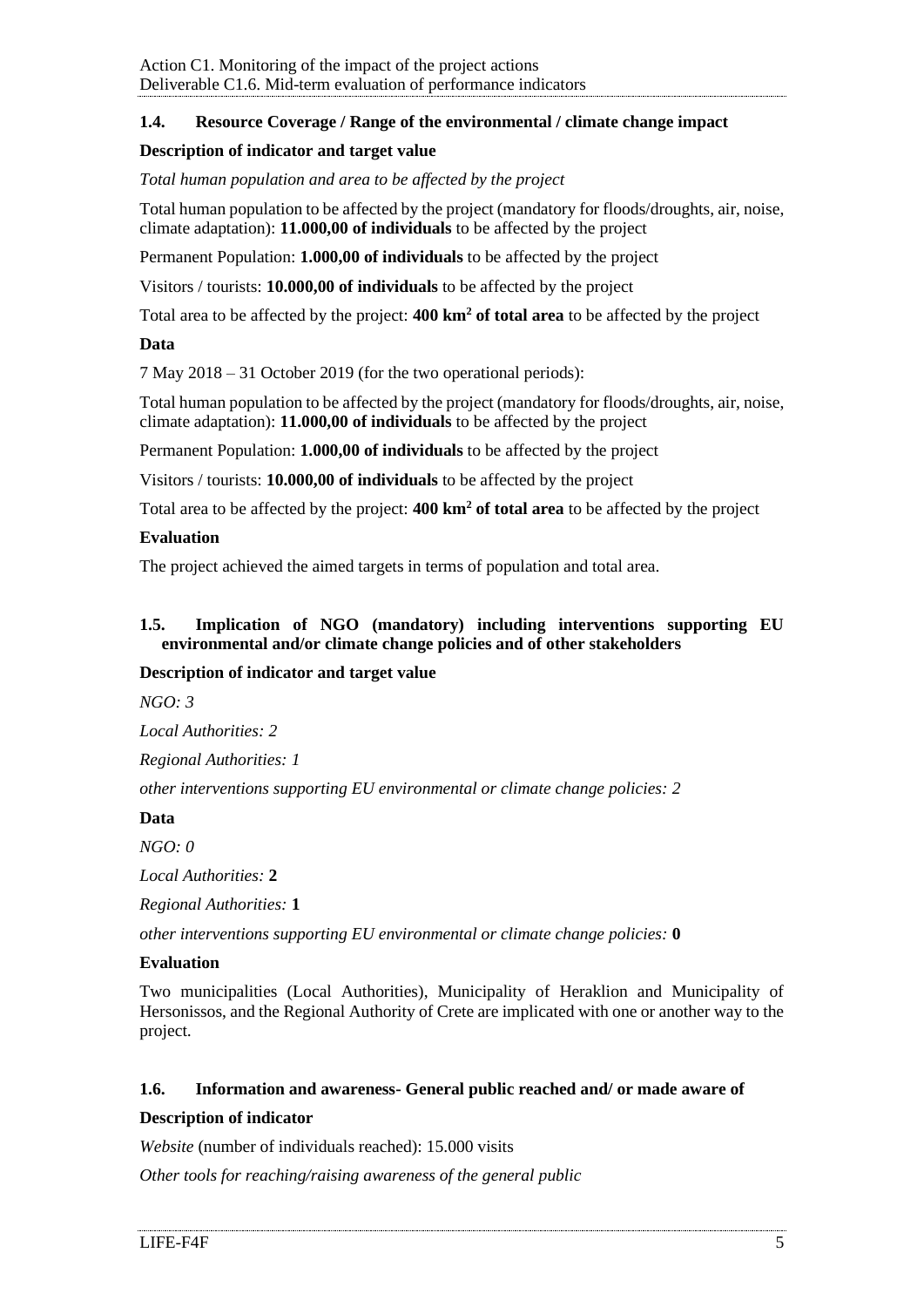## <span id="page-4-0"></span>**1.4. Resource Coverage / Range of the environmental / climate change impact**

## **Description of indicator and target value**

*Total human population and area to be affected by the project*

Total human population to be affected by the project (mandatory for floods/droughts, air, noise, climate adaptation): **11.000,00 of individuals** to be affected by the project

Permanent Population: **1.000,00 of individuals** to be affected by the project

Visitors / tourists: **10.000,00 of individuals** to be affected by the project

Total area to be affected by the project: **400 km<sup>2</sup> of total area** to be affected by the project

## **Data**

7 May 2018 – 31 October 2019 (for the two operational periods):

Total human population to be affected by the project (mandatory for floods/droughts, air, noise, climate adaptation): **11.000,00 of individuals** to be affected by the project

Permanent Population: **1.000,00 of individuals** to be affected by the project

Visitors / tourists: **10.000,00 of individuals** to be affected by the project

Total area to be affected by the project: **400 km<sup>2</sup> of total area** to be affected by the project

#### **Evaluation**

The project achieved the aimed targets in terms of population and total area.

#### <span id="page-4-1"></span>**1.5. Implication of NGO (mandatory) including interventions supporting EU environmental and/or climate change policies and of other stakeholders**

## **Description of indicator and target value**

*NGO: 3*

*Local Authorities: 2*

*Regional Authorities: 1*

*other interventions supporting EU environmental or climate change policies: 2*

## **Data**

*NGO: 0*

*Local Authorities:* **2**

*Regional Authorities:* **1**

*other interventions supporting EU environmental or climate change policies:* **0**

## **Evaluation**

Two municipalities (Local Authorities), Municipality of Heraklion and Municipality of Hersonissos, and the Regional Authority of Crete are implicated with one or another way to the project.

## <span id="page-4-2"></span>**1.6. Information and awareness- General public reached and/ or made aware of**

## **Description of indicator**

*Website* (number of individuals reached): 15.000 visits

*Other tools for reaching/raising awareness of the general public*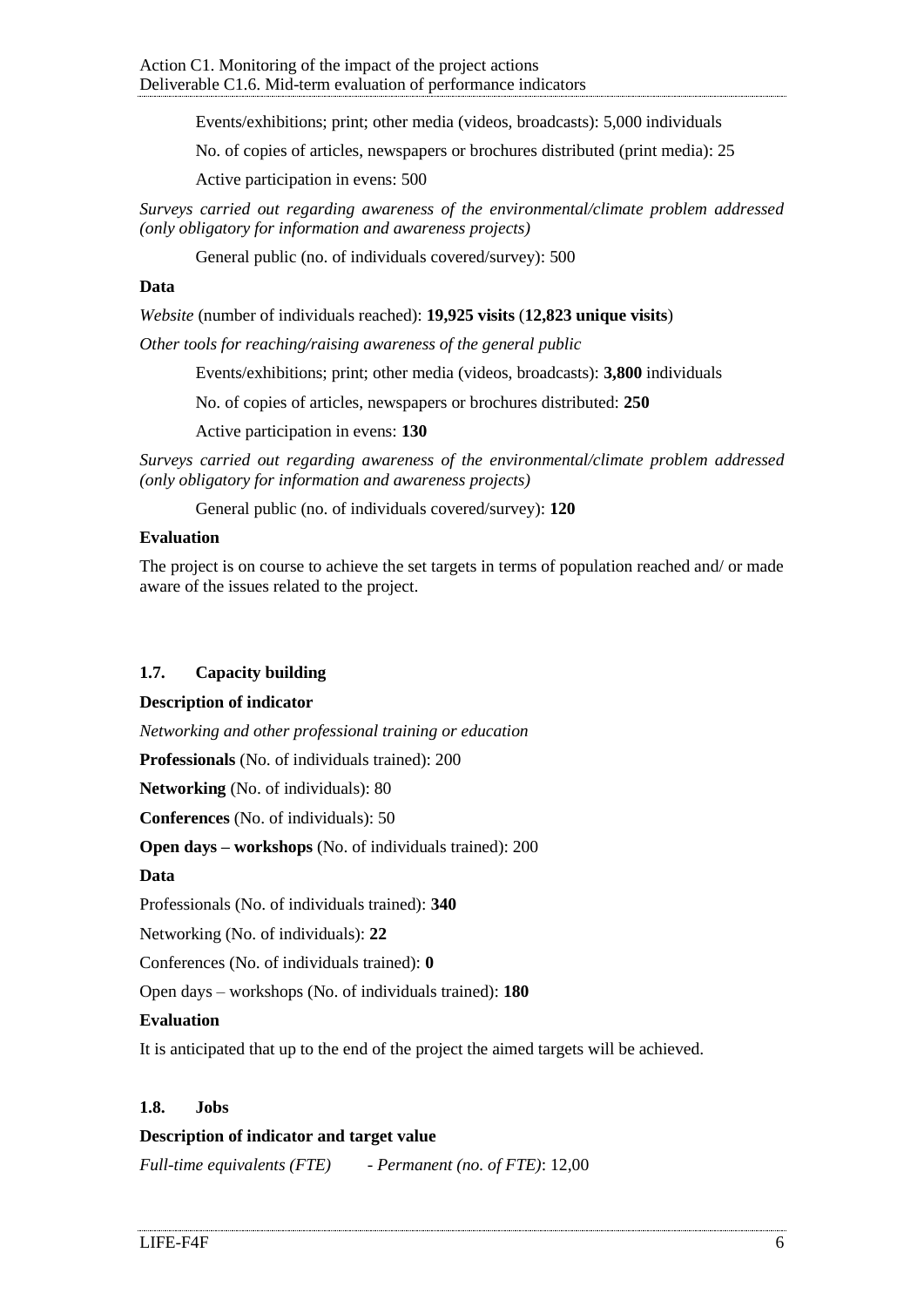Events/exhibitions; print; other media (videos, broadcasts): 5,000 individuals

No. of copies of articles, newspapers or brochures distributed (print media): 25

Active participation in evens: 500

*Surveys carried out regarding awareness of the environmental/climate problem addressed (only obligatory for information and awareness projects)*

General public (no. of individuals covered/survey): 500

#### **Data**

*Website* (number of individuals reached): **19,925 visits** (**12,823 unique visits**)

*Other tools for reaching/raising awareness of the general public*

Events/exhibitions; print; other media (videos, broadcasts): **3,800** individuals

No. of copies of articles, newspapers or brochures distributed: **250**

Active participation in evens: **130**

*Surveys carried out regarding awareness of the environmental/climate problem addressed (only obligatory for information and awareness projects)*

General public (no. of individuals covered/survey): **120**

#### **Evaluation**

The project is on course to achieve the set targets in terms of population reached and/ or made aware of the issues related to the project.

## <span id="page-5-0"></span>**1.7. Capacity building**

#### **Description of indicator**

*Networking and other professional training or education*

**Professionals** (No. of individuals trained): 200

**Networking** (No. of individuals): 80

**Conferences** (No. of individuals): 50

**Open days – workshops** (No. of individuals trained): 200

#### **Data**

Professionals (No. of individuals trained): **340**

Networking (No. of individuals): **22**

Conferences (No. of individuals trained): **0**

Open days – workshops (No. of individuals trained): **180**

#### **Evaluation**

It is anticipated that up to the end of the project the aimed targets will be achieved.

#### <span id="page-5-1"></span>**1.8. Jobs**

#### **Description of indicator and target value**

*Full-time equivalents (FTE) - Permanent (no. of FTE)*: 12,00